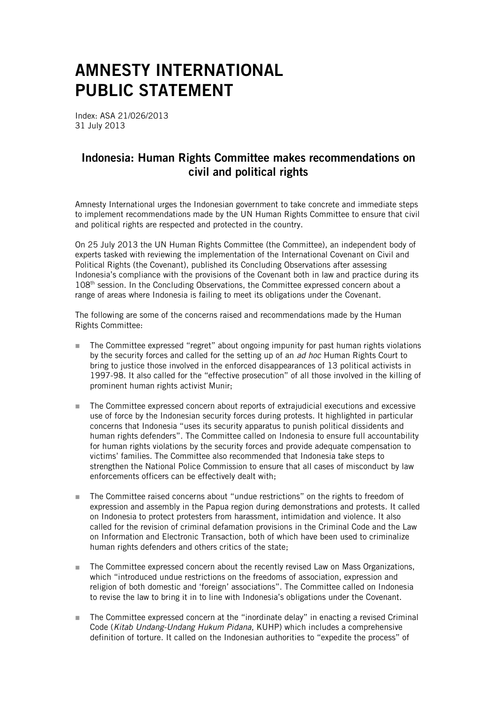## AMNESTY INTERNATIONAL PUBLIC STATEMENT

Index: ASA 21/026/2013 31 July 2013

## Indonesia: Human Rights Committee makes recommendations on civil and political rights

Amnesty International urges the Indonesian government to take concrete and immediate steps to implement recommendations made by the UN Human Rights Committee to ensure that civil and political rights are respected and protected in the country.

On 25 July 2013 the UN Human Rights Committee (the Committee), an independent body of experts tasked with reviewing the implementation of the International Covenant on Civil and Political Rights (the Covenant), published its Concluding Observations after assessing Indonesia's compliance with the provisions of the Covenant both in law and practice during its 108<sup>th</sup> session. In the Concluding Observations, the Committee expressed concern about a range of areas where Indonesia is failing to meet its obligations under the Covenant.

The following are some of the concerns raised and recommendations made by the Human Rights Committee:

- The Committee expressed "regret" about ongoing impunity for past human rights violations by the security forces and called for the setting up of an *ad hoc* Human Rights Court to bring to justice those involved in the enforced disappearances of 13 political activists in 1997-98. It also called for the "effective prosecution" of all those involved in the killing of prominent human rights activist Munir;
- The Committee expressed concern about reports of extrajudicial executions and excessive use of force by the Indonesian security forces during protests. It highlighted in particular concerns that Indonesia "uses its security apparatus to punish political dissidents and human rights defenders". The Committee called on Indonesia to ensure full accountability for human rights violations by the security forces and provide adequate compensation to victims' families. The Committee also recommended that Indonesia take steps to strengthen the National Police Commission to ensure that all cases of misconduct by law enforcements officers can be effectively dealt with;
- The Committee raised concerns about "undue restrictions" on the rights to freedom of expression and assembly in the Papua region during demonstrations and protests. It called on Indonesia to protect protesters from harassment, intimidation and violence. It also called for the revision of criminal defamation provisions in the Criminal Code and the Law on Information and Electronic Transaction, both of which have been used to criminalize human rights defenders and others critics of the state;
- The Committee expressed concern about the recently revised Law on Mass Organizations, which "introduced undue restrictions on the freedoms of association, expression and religion of both domestic and 'foreign' associations". The Committee called on Indonesia to revise the law to bring it in to line with Indonesia's obligations under the Covenant.
- The Committee expressed concern at the "inordinate delay" in enacting a revised Criminal Code (*Kitab Undang-Undang Hukum Pidana*, KUHP) which includes a comprehensive definition of torture. It called on the Indonesian authorities to "expedite the process" of